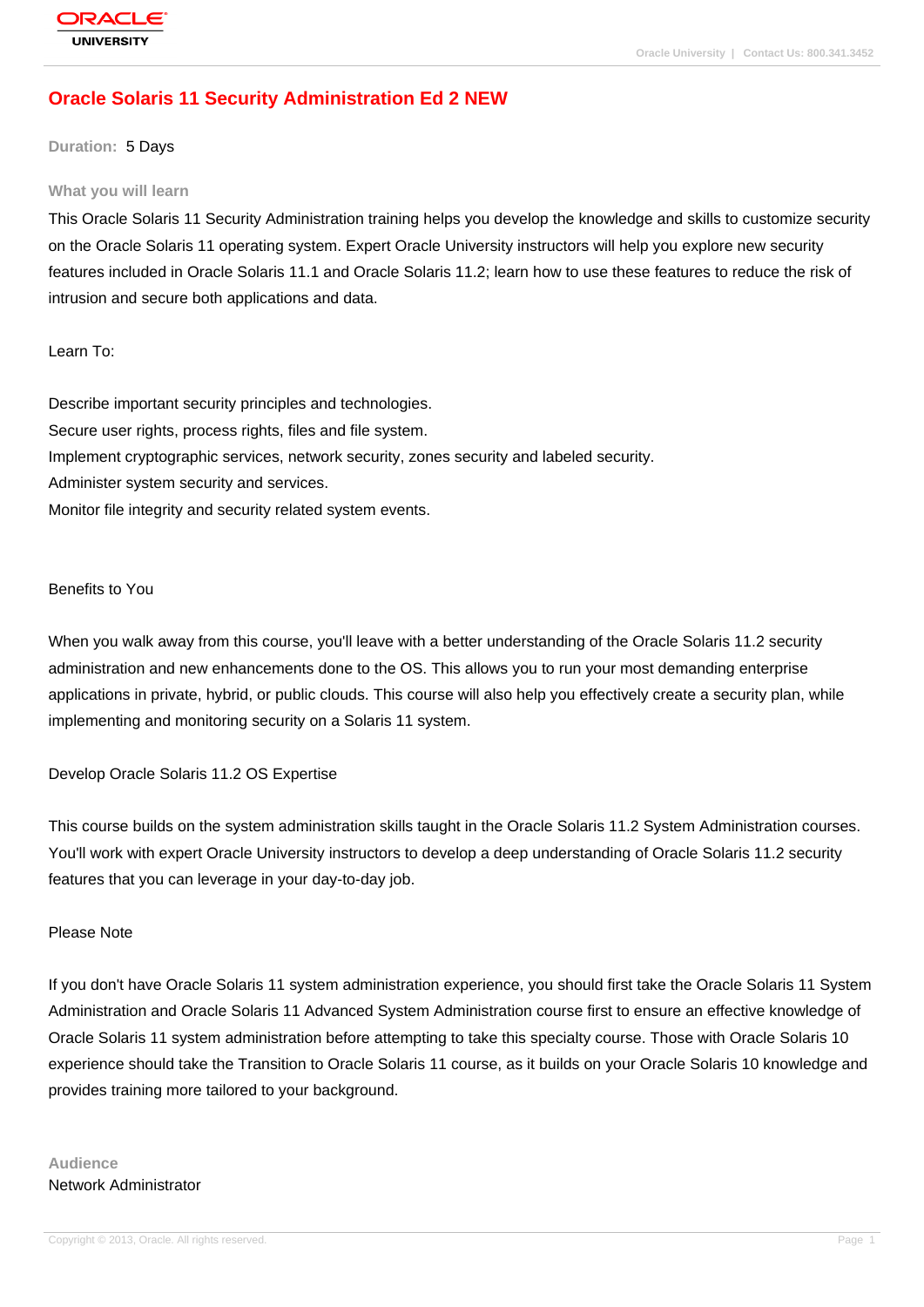# **[Oracle Solaris](http://education.oracle.com/pls/web_prod-plq-dad/db_pages.getpage?page_id=3) 11 Security Administration Ed 2 NEW**

### **Duration:** 5 Days

#### **What you will learn**

This Oracle Solaris 11 Security Administration training helps you develop the knowledge and skills to customize security on the Oracle Solaris 11 operating system. Expert Oracle University instructors will help you explore new security features included in Oracle Solaris 11.1 and Oracle Solaris 11.2; learn how to use these features to reduce the risk of intrusion and secure both applications and data.

#### Learn To:

Describe important security principles and technologies. Secure user rights, process rights, files and file system. Implement cryptographic services, network security, zones security and labeled security. Administer system security and services. Monitor file integrity and security related system events.

#### Benefits to You

When you walk away from this course, you'll leave with a better understanding of the Oracle Solaris 11.2 security administration and new enhancements done to the OS. This allows you to run your most demanding enterprise applications in private, hybrid, or public clouds. This course will also help you effectively create a security plan, while implementing and monitoring security on a Solaris 11 system.

#### Develop Oracle Solaris 11.2 OS Expertise

This course builds on the system administration skills taught in the Oracle Solaris 11.2 System Administration courses. You'll work with expert Oracle University instructors to develop a deep understanding of Oracle Solaris 11.2 security features that you can leverage in your day-to-day job.

### Please Note

If you don't have Oracle Solaris 11 system administration experience, you should first take the Oracle Solaris 11 System Administration and Oracle Solaris 11 Advanced System Administration course first to ensure an effective knowledge of Oracle Solaris 11 system administration before attempting to take this specialty course. Those with Oracle Solaris 10 experience should take the Transition to Oracle Solaris 11 course, as it builds on your Oracle Solaris 10 knowledge and provides training more tailored to your background.

## **Audience** Network Administrator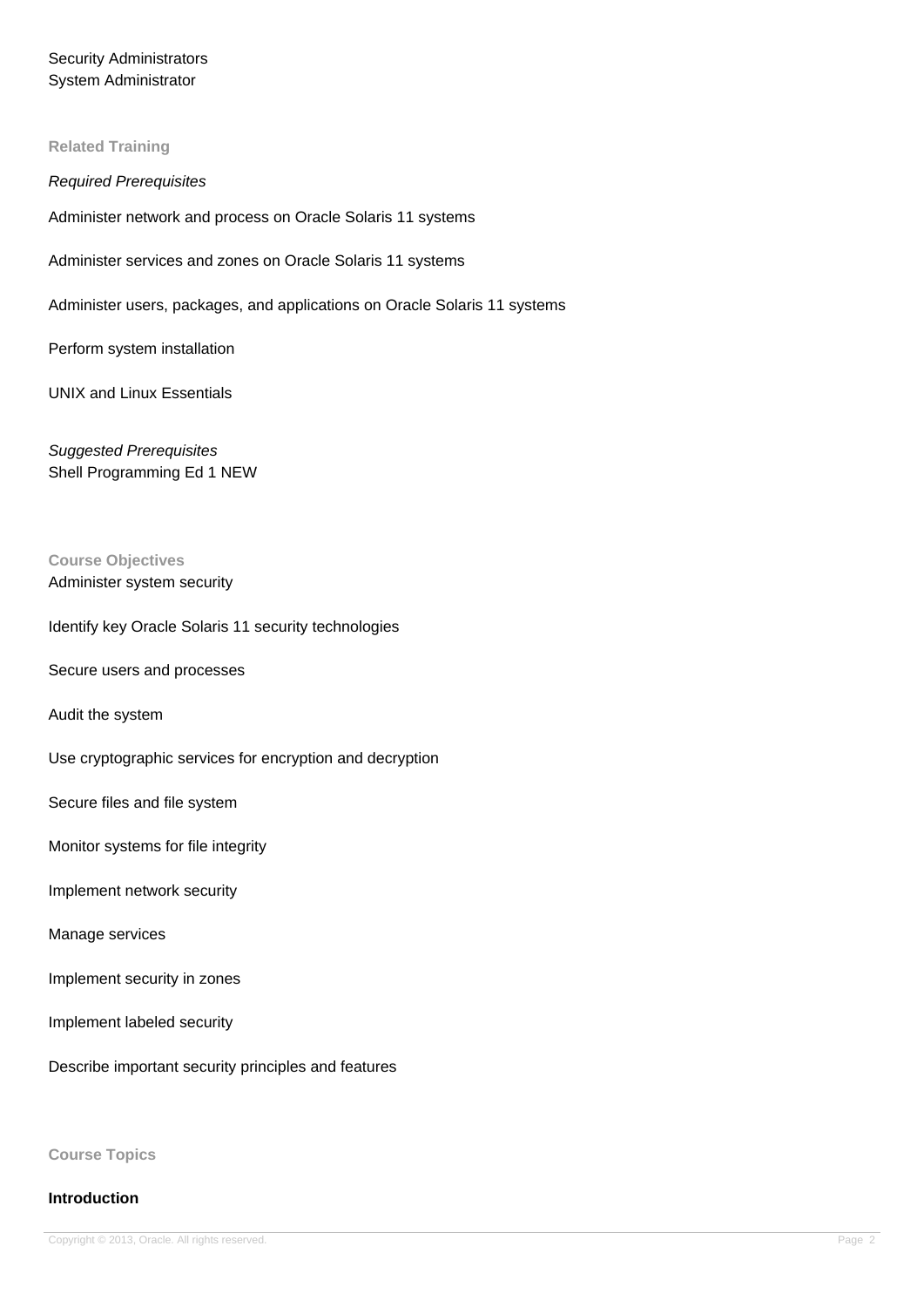# Security Administrators System Administrator

### **Related Training**

### Required Prerequisites

Administer network and process on Oracle Solaris 11 systems

Administer services and zones on Oracle Solaris 11 systems

Administer users, packages, and applications on Oracle Solaris 11 systems

Perform system installation

UNIX and Linux Essentials

Suggested Prerequisites Shell Programming Ed 1 NEW

### **Course Objectives** Administer system security

### Identify key Oracle Solaris 11 security technologies

Secure users and processes

Audit the system

Use cryptographic services for encryption and decryption

Secure files and file system

Monitor systems for file integrity

Implement network security

#### Manage services

Implement security in zones

Implement labeled security

Describe important security principles and features

**Course Topics**

### **Introduction**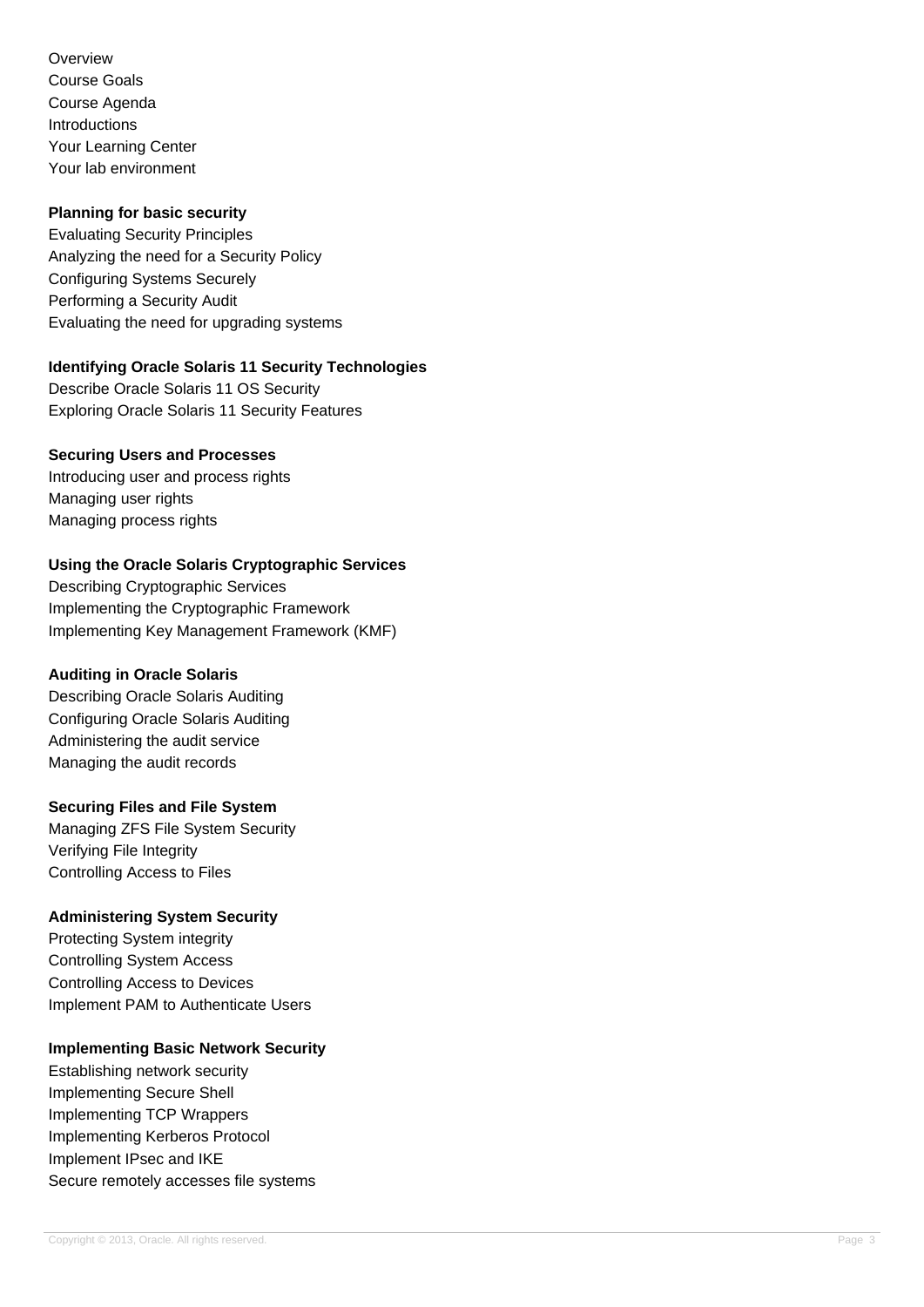**Overview** Course Goals Course Agenda Introductions Your Learning Center Your lab environment

### **Planning for basic security**

Evaluating Security Principles Analyzing the need for a Security Policy Configuring Systems Securely Performing a Security Audit Evaluating the need for upgrading systems

## **Identifying Oracle Solaris 11 Security Technologies**

Describe Oracle Solaris 11 OS Security Exploring Oracle Solaris 11 Security Features

### **Securing Users and Processes**

Introducing user and process rights Managing user rights Managing process rights

## **Using the Oracle Solaris Cryptographic Services**

Describing Cryptographic Services Implementing the Cryptographic Framework Implementing Key Management Framework (KMF)

### **Auditing in Oracle Solaris**

Describing Oracle Solaris Auditing Configuring Oracle Solaris Auditing Administering the audit service Managing the audit records

### **Securing Files and File System**

Managing ZFS File System Security Verifying File Integrity Controlling Access to Files

## **Administering System Security**

Protecting System integrity Controlling System Access Controlling Access to Devices Implement PAM to Authenticate Users

## **Implementing Basic Network Security**

Establishing network security Implementing Secure Shell Implementing TCP Wrappers Implementing Kerberos Protocol Implement IPsec and IKE Secure remotely accesses file systems